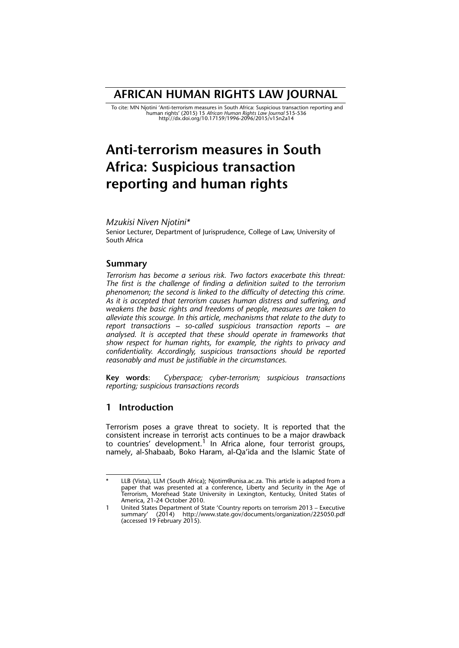## **AFRICAN HUMAN RIGHTS LAW JOURNAL**

To cite: MN Njotini 'Anti-terrorism measures in South Africa: Suspicious transaction reporting and<br>human rights' (2015) 15 *African Human Rights Law Journal 5*15-536<br>http://dx.doi.org/10.17159/1996-2096/2015/v15n2a14

# **Anti-terrorism measures in South Africa: Suspicious transaction reporting and human rights**

## *Mzukisi Niven Njotini\**

Senior Lecturer, Department of Jurisprudence, College of Law, University of South Africa

## **Summary**

*Terrorism has become a serious risk. Two factors exacerbate this threat: The first is the challenge of finding a definition suited to the terrorism phenomenon; the second is linked to the difficulty of detecting this crime. As it is accepted that terrorism causes human distress and suffering, and weakens the basic rights and freedoms of people, measures are taken to alleviate this scourge. In this article, mechanisms that relate to the duty to report transactions – so-called suspicious transaction reports – are analysed. It is accepted that these should operate in frameworks that show respect for human rights, for example, the rights to privacy and confidentiality. Accordingly, suspicious transactions should be reported reasonably and must be justifiable in the circumstances.*

**Key words**: *Cyberspace; cyber-terrorism; suspicious transactions reporting; suspicious transactions records*

## **1 Introduction**

Terrorism poses a grave threat to society. It is reported that the consistent increase in terrorist acts continues to be a major drawback to countries' development.<sup>1</sup> In Africa alone, four terrorist groups, namely, al-Shabaab, Boko Haram, al-Qa'ida and the Islamic State of

LLB (Vista), LLM (South Africa); Njotim@unisa.ac.za. This article is adapted from a paper that was presented at a conference, Liberty and Security in the Age of Terrorism, Morehead State University in Lexington, Kentucky, United States of America, 21-24 October 2010. \*

<sup>1</sup> United States Department of State 'Country reports on terrorism 2013 – Executive summary' (2014) http://www.state.gov/documents/organization/225050.pdf (accessed 19 February 2015).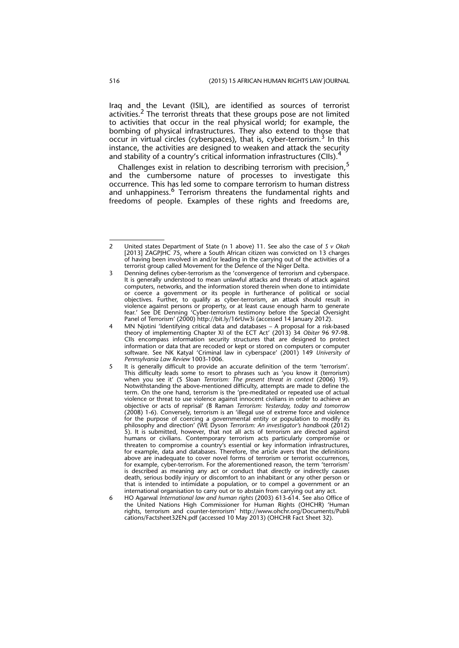Iraq and the Levant (ISIL), are identified as sources of terrorist activities.<sup>2</sup> The terrorist threats that these groups pose are not limited to activities that occur in the real physical world; for example, the bombing of physical infrastructures. They also extend to those that occur in virtual circles (cyberspaces), that is, cyber-terrorism.<sup>3</sup> In this instance, the activities are designed to weaken and attack the security and stability of a country's critical information infrastructures (CIIs).<sup>4</sup>

Challenges exist in relation to describing terrorism with precision,<sup>5</sup> and the cumbersome nature of processes to investigate this occurrence. This has led some to compare terrorism to human distress and unhappiness.<sup>6</sup> Terrorism threatens the fundamental rights and freedoms of people. Examples of these rights and freedoms are,

<sup>2</sup> United states Department of State (n 1 above) 11. See also the case of *S v Okah* [2013] ZAGPJHC 75, where a South African citizen was convicted on 13 charges of having been involved in and/or leading in the carrying out of the activities of a terrorist group called Movement for the Defence of the Niger Delta.

<sup>3</sup> Denning defines cyber-terrorism as the 'convergence of terrorism and cyberspace. It is generally understood to mean unlawful attacks and threats of attack against computers, networks, and the information stored therein when done to intimidate or coerce a government or its people in furtherance of political or social objectives. Further, to qualify as cyber-terrorism, an attack should result in violence against persons or property, or at least cause enough harm to generate fear.' See DE Denning 'Cyber-terrorism testimony before the Special Oversight Panel of Terrorism' (2000) http://bit.ly/16rUw3i (accessed 14 January 2012).

<sup>4</sup> MN Njotini 'Identifying critical data and databases – A proposal for a risk-based theory of implementing Chapter XI of the ECT Act' (2013) 34 *Obiter* 96 97-98. CIIs encompass information security structures that are designed to protect information or data that are recoded or kept or stored on computers or computer software. See NK Katyal 'Criminal law in cyberspace' (2001) 149 *University of Pennsylvania Law Review* 1003-1006.

<sup>5</sup> It is generally difficult to provide an accurate definition of the term 'terrorism'. This difficulty leads some to resort to phrases such as 'you know it (terrorism) when you see it' (S Sloan *Terrorism: The present threat in context* (2006) 19). Notwithstanding the above-mentioned difficulty, attempts are made to define the term. On the one hand, terrorism is the 'pre-meditated or repeated use of actual violence or threat to use violence against innocent civilians in order to achieve an objective or acts of reprisal' (B Raman *Terrorism: Yesterday, today and tomorrow* (2008) 1-6). Conversely, terrorism is an 'illegal use of extreme force and violence for the purpose of coercing a governmental entity or population to modify its philosophy and direction' (WE Dyson *Terrorism: An investigator's handbook* (2012) 5). It is submitted, however, that not all acts of terrorism are directed against humans or civilians. Contemporary terrorism acts particularly compromise or threaten to compromise a country's essential or key information infrastructures, for example, data and databases. Therefore, the article avers that the definitions above are inadequate to cover novel forms of terrorism or terrorist occurrences, for example, cyber-terrorism. For the aforementioned reason, the term 'terrorism' is described as meaning any act or conduct that directly or indirectly causes death, serious bodily injury or discomfort to an inhabitant or any other person or that is intended to intimidate a population, or to compel a government or an international organisation to carry out or to abstain from carrying out any act.

<sup>6</sup> HO Agarwal *International law and human rights* (2003) 613-614. See also Office of the United Nations High Commissioner for Human Rights (OHCHR) 'Human rights, terrorism and counter-terrorism' http://www.ohchr.org/Documents/Publi cations/Factsheet32EN.pdf (accessed 10 May 2013) (OHCHR Fact Sheet 32).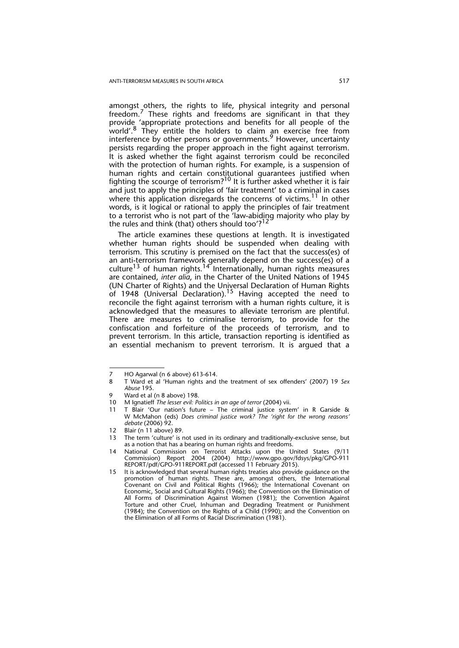amongst others, the rights to life, physical integrity and personal freedom. $<sup>7</sup>$  These rights and freedoms are significant in that they</sup> provide 'appropriate protections and benefits for all people of the world'.8 They entitle the holders to claim an exercise free from interference by other persons or governments.<sup>9</sup> However, uncertainty persists regarding the proper approach in the fight against terrorism. It is asked whether the fight against terrorism could be reconciled with the protection of human rights. For example, is a suspension of human rights and certain constitutional guarantees justified when fighting the scourge of terrorism? $^{10}$  It is further asked whether it is fair and just to apply the principles of 'fair treatment' to a criminal in cases where this application disregards the concerns of victims.<sup>11</sup> In other words, is it logical or rational to apply the principles of fair treatment to a terrorist who is not part of the 'law-abiding majority who play by the rules and think (that) others should too'?<sup>12</sup>

The article examines these questions at length. It is investigated whether human rights should be suspended when dealing with terrorism. This scrutiny is premised on the fact that the success(es) of an anti-terrorism framework generally depend on the success(es) of a culture<sup>13</sup> of human rights.<sup>14</sup> Internationally, human rights measures are contained, *inter alia*, in the Charter of the United Nations of 1945 (UN Charter of Rights) and the Universal Declaration of Human Rights of 1948 (Universal Declaration).<sup>15</sup> Having accepted the need to reconcile the fight against terrorism with a human rights culture, it is acknowledged that the measures to alleviate terrorism are plentiful. There are measures to criminalise terrorism, to provide for the confiscation and forfeiture of the proceeds of terrorism, and to prevent terrorism. In this article, transaction reporting is identified as an essential mechanism to prevent terrorism. It is argued that a

<sup>7</sup> HO Agarwal (n 6 above) 613-614.

<sup>8</sup> T Ward et al 'Human rights and the treatment of sex offenders' (2007) 19 *Sex Abuse* 195.

<sup>9</sup> Ward et al (n 8 above) 198.<br>10 M Jonatieff The lesser evil: Po

<sup>10</sup> M Ignatieff *The lesser evil: Politics in an age of terror* (2004) vii.

<sup>11</sup> T Blair 'Our nation's future – The criminal justice system' in R Garside & W McMahon (eds) *Does criminal justice work? The 'right for the wrong reasons' debate* (2006) 92.

<sup>12</sup> Blair (n 11 above) 89.

<sup>13</sup> The term 'culture' is not used in its ordinary and traditionally-exclusive sense, but as a notion that has a bearing on human rights and freedoms.

<sup>14</sup> National Commission on Terrorist Attacks upon the United States (9/11 Commission) Report 2004 (2004) http://www.gpo.gov/fdsys/pkg/GPO-911 REPORT/pdf/GPO-911REPORT.pdf (accessed 11 February 2015).

<sup>15</sup> It is acknowledged that several human rights treaties also provide guidance on the promotion of human rights. These are, amongst others, the International Covenant on Civil and Political Rights (1966); the International Covenant on Economic, Social and Cultural Rights (1966); the Convention on the Elimination of All Forms of Discrimination Against Women (1981); the Convention Against Torture and other Cruel, Inhuman and Degrading Treatment or Punishment (1984); the Convention on the Rights of a Child (1990); and the Convention on the Elimination of all Forms of Racial Discrimination (1981).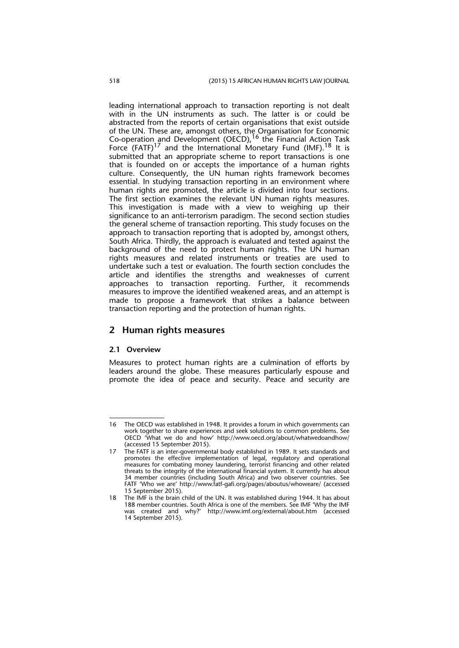leading international approach to transaction reporting is not dealt with in the UN instruments as such. The latter is or could be abstracted from the reports of certain organisations that exist outside of the UN. These are, amongst others, the Organisation for Economic Co-operation and Development (OECD),16 the Financial Action Task Force (FATF)<sup>17</sup> and the International Monetary Fund (IMF).<sup>18</sup> It is submitted that an appropriate scheme to report transactions is one that is founded on or accepts the importance of a human rights culture. Consequently, the UN human rights framework becomes essential. In studying transaction reporting in an environment where human rights are promoted, the article is divided into four sections. The first section examines the relevant UN human rights measures. This investigation is made with a view to weighing up their significance to an anti-terrorism paradigm. The second section studies the general scheme of transaction reporting. This study focuses on the approach to transaction reporting that is adopted by, amongst others, South Africa. Thirdly, the approach is evaluated and tested against the background of the need to protect human rights. The UN human rights measures and related instruments or treaties are used to undertake such a test or evaluation. The fourth section concludes the article and identifies the strengths and weaknesses of current approaches to transaction reporting. Further, it recommends measures to improve the identified weakened areas, and an attempt is made to propose a framework that strikes a balance between transaction reporting and the protection of human rights.

## **2 Human rights measures**

#### **2.1 Overview**

Measures to protect human rights are a culmination of efforts by leaders around the globe. These measures particularly espouse and promote the idea of peace and security. Peace and security are

<sup>16</sup> The OECD was established in 1948. It provides a forum in which governments can work together to share experiences and seek solutions to common problems. See OECD 'What we do and how' http://www.oecd.org/about/whatwedoandhow/ (accessed 15 September 2015).

<sup>17</sup> The FATF is an inter-governmental body established in 1989. It sets standards and promotes the effective implementation of legal, regulatory and operational measures for combating money laundering, terrorist financing and other related threats to the integrity of the international financial system. It currently has about 34 member countries (including South Africa) and two observer countries. See FATF 'Who we are' http://www.fatf-gafi.org/pages/aboutus/whoweare/ (accessed 15 September 2015).

<sup>18</sup> The IMF is the brain child of the UN. It was established during 1944. It has about 188 member countries. South Africa is one of the members. See IMF 'Why the IMF was created and why?' http://www.imf.org/external/about.htm (accessed 14 September 2015).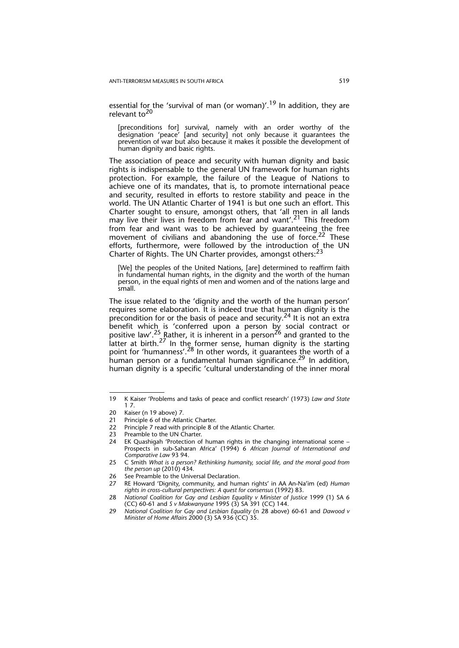essential for the 'survival of man (or woman)'.<sup>19</sup> In addition, they are relevant to<sup>20</sup>

[preconditions for] survival, namely with an order worthy of the designation 'peace' [and security] not only because it guarantees the prevention of war but also because it makes it possible the development of human dignity and basic rights.

The association of peace and security with human dignity and basic rights is indispensable to the general UN framework for human rights protection. For example, the failure of the League of Nations to achieve one of its mandates, that is, to promote international peace and security, resulted in efforts to restore stability and peace in the world. The UN Atlantic Charter of 1941 is but one such an effort. This Charter sought to ensure, amongst others, that 'all men in all lands may live their lives in freedom from fear and want'.<sup>21</sup> This freedom from fear and want was to be achieved by guaranteeing the free movement of civilians and abandoning the use of force.<sup>22</sup> These efforts, furthermore, were followed by the introduction of the UN Charter of Rights. The UN Charter provides, amongst others:<sup>23</sup>

[We] the peoples of the United Nations, [are] determined to reaffirm faith in fundamental human rights, in the dignity and the worth of the human person, in the equal rights of men and women and of the nations large and small.

The issue related to the 'dignity and the worth of the human person' requires some elaboration. It is indeed true that human dignity is the precondition for or the basis of peace and security.<sup>24</sup> It is not an extra benefit which is 'conferred upon a person by social contract or positive law'.<sup>25</sup> Rather, it is inherent in a person<sup>26</sup> and granted to the latter at birth.<sup>27</sup> In the former sense, human dignity is the starting point for 'humanness'.<sup>28</sup> In other words, it guarantees the worth of a human person or a fundamental human significance.<sup>29</sup> In addition. human dignity is a specific 'cultural understanding of the inner moral

Principle 7 read with principle 8 of the Atlantic Charter.

<sup>19</sup> K Kaiser 'Problems and tasks of peace and conflict research' (1973) *Law and State* 1 7.

<sup>20</sup> Kaiser (n 19 above) 7*.*

<sup>21</sup> Principle 6 of the Atlantic Charter.<br>22 Principle 7 read with principle 8 of

<sup>23</sup> Preamble to the UN Charter.

<sup>24</sup> EK Quashigah 'Protection of human rights in the changing international scene – Prospects in sub-Saharan Africa' (1994) 6 *African Journal of International and Comparative Law* 93 94.

<sup>25</sup> C Smith *What is a person? Rethinking humanity, social life, and the moral good from the person up* (2010) 434.

<sup>26</sup> See Preamble to the Universal Declaration.

<sup>27</sup> RE Howard 'Dignity, community, and human rights' in AA An-Na'im (ed) *Human rights in cross-cultural perspectives: A quest for consensus* (1992) 83.

<sup>28</sup> *National Coalition for Gay and Lesbian Equality v Minister of Justice* 1999 (1) SA 6 (CC) 60-61 and *S v Makwanyane* 1995 (3) SA 391 (CC) 144.

<sup>29</sup> *National Coalition for Gay and Lesbian Equality* (n 28 above) 60-61 and *Dawood v Minister of Home Affairs* 2000 (3) SA 936 (CC) 35.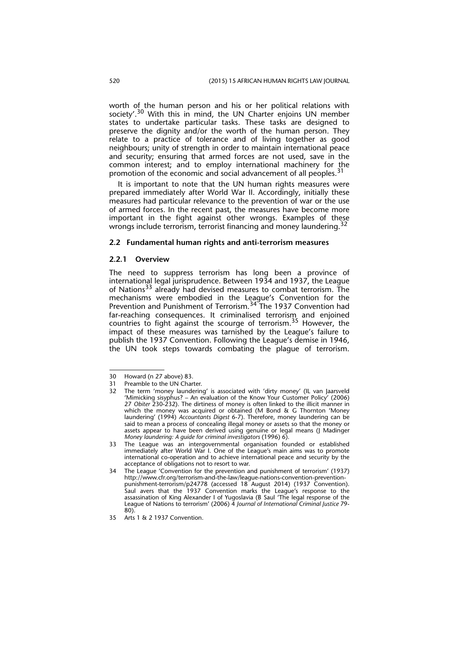worth of the human person and his or her political relations with society'.<sup>30</sup> With this in mind, the UN Charter enjoins UN member states to undertake particular tasks. These tasks are designed to preserve the dignity and/or the worth of the human person. They relate to a practice of tolerance and of living together as good neighbours; unity of strength in order to maintain international peace and security; ensuring that armed forces are not used, save in the common interest; and to employ international machinery for the promotion of the economic and social advancement of all peoples.<sup>31</sup>

It is important to note that the UN human rights measures were prepared immediately after World War II. Accordingly, initially these measures had particular relevance to the prevention of war or the use of armed forces. In the recent past, the measures have become more important in the fight against other wrongs. Examples of these wrongs include terrorism, terrorist financing and money laundering.<sup>32</sup>

#### **2.2 Fundamental human rights and anti-terrorism measures**

#### **2.2.1 Overview**

The need to suppress terrorism has long been a province of international legal jurisprudence. Between 1934 and 1937, the League of Nations<sup>33</sup> already had devised measures to combat terrorism. The mechanisms were embodied in the League's Convention for the Prevention and Punishment of Terrorism.<sup>34</sup> The 1937 Convention had far-reaching consequences. It criminalised terrorism and enjoined countries to fight against the scourge of terrorism.<sup>35</sup> However, the impact of these measures was tarnished by the League's failure to publish the 1937 Convention. Following the League's demise in 1946, the UN took steps towards combating the plague of terrorism.

<sup>30</sup> Howard (n 27 above) 83.

<sup>31</sup> Preamble to the UN Charter.<br>32 The term 'money laundering

The term 'money laundering' is associated with 'dirty money' (IL van Jaarsveld 'Mimicking sisyphus? – An evaluation of the Know Your Customer Policy' (2006) 27 *Obiter* 230-232). The dirtiness of money is often linked to the illicit manner in which the money was acquired or obtained (M Bond & G Thornton 'Money laundering' (1994) *Accountants Digest* 6-7). Therefore, money laundering can be said to mean a process of concealing illegal money or assets so that the money or assets appear to have been derived using genuine or legal means (J Madinger *Money laundering: A guide for criminal investigators* (1996) 6).

<sup>33</sup> The League was an intergovernmental organisation founded or established immediately after World War I. One of the League's main aims was to promote international co-operation and to achieve international peace and security by the acceptance of obligations not to resort to war.

<sup>34</sup> The League 'Convention for the prevention and punishment of terrorism' (1937) http://www.cfr.org/terrorism-and-the-law/league-nations-convention-preventionpunishment-terrorism/p24778 (accessed 18 August 2014) (1937 Convention). Saul avers that the 1937 Convention marks the League's response to the assassination of King Alexander I of Yugoslavia (B Saul 'The legal response of the League of Nations to terrorism' (2006) 4 *Journal of International Criminal Justice* 79- 80).

<sup>35</sup> Arts 1 & 2 1937 Convention.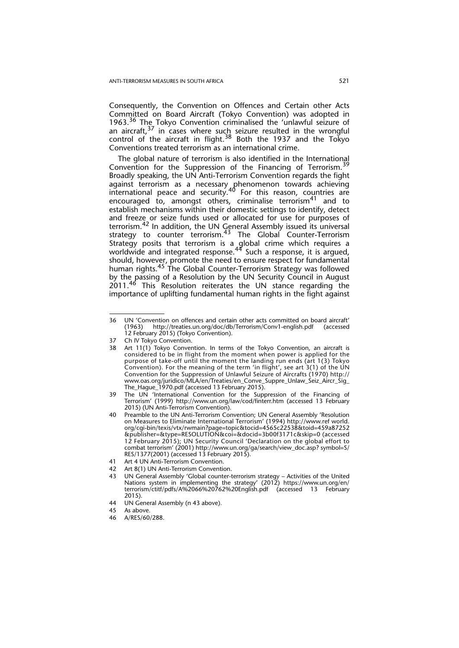Consequently, the Convention on Offences and Certain other Acts Committed on Board Aircraft (Tokyo Convention) was adopted in 1963.36 The Tokyo Convention criminalised the 'unlawful seizure of an aircraft,  $37$  in cases where such seizure resulted in the wrongful control of the aircraft in flight.<sup>38</sup> Both the 1937 and the Tokyo Conventions treated terrorism as an international crime.

The global nature of terrorism is also identified in the International Convention for the Suppression of the Financing of Terrorism.<sup>39</sup> Broadly speaking, the UN Anti-Terrorism Convention regards the fight against terrorism as a necessary phenomenon towards achieving international peace and security.<sup>40</sup> For this reason, countries are encouraged to, amongst others, criminalise terrorism<sup>41</sup> and to establish mechanisms within their domestic settings to identify, detect and freeze or seize funds used or allocated for use for purposes of terrorism.42 In addition, the UN General Assembly issued its universal strategy to counter terrorism.<sup>43</sup> The Global Counter-Terrorism Strategy posits that terrorism is a global crime which requires a worldwide and integrated response.<sup>44</sup> Such a response, it is argued, should, however, promote the need to ensure respect for fundamental human rights.<sup>45</sup> The Global Counter-Terrorism Strategy was followed by the passing of a Resolution by the UN Security Council in August 2011.<sup>46</sup> This Resolution reiterates the UN stance regarding the importance of uplifting fundamental human rights in the fight against

<sup>36</sup> UN 'Convention on offences and certain other acts committed on board aircraft' (1963) http://treaties.un.org/doc/db/Terrorism/Conv1-english.pdf (accessed 12 February 2015) (Tokyo Convention).

<sup>37</sup> Ch IV Tokyo Convention.

<sup>38</sup> Art 11(1) Tokyo Convention. In terms of the Tokyo Convention, an aircraft is considered to be in flight from the moment when power is applied for the purpose of take-off until the moment the landing run ends (art 1(3) Tokyo Convention). For the meaning of the term 'in flight', see art 3(1) of the UN Convention for the Suppression of Unlawful Seizure of Aircrafts (1970) http:// www.oas.org/juridico/MLA/en/Treaties/en\_Conve\_Suppre\_Unlaw\_Seiz\_Aircr\_Sig The\_Hague\_1970.pdf (accessed 13 February 2015).

<sup>39</sup> The UN 'International Convention for the Suppression of the Financing of Terrorism' (1999) http://www.un.org/law/cod/finterr.htm (accessed 13 February 2015) (UN Anti-Terrorism Convention).

<sup>40</sup> Preamble to the UN Anti-Terrorism Convention; UN General Assembly 'Resolution on Measures to Eliminate International Terrorism' (1994) http://www.ref world. org/cgi-bin/texis/vtx/rwmain?page=topic&tocid=4565c22538&toid=459a87252 &publisher=&type=RESOLUTION&coi=&docid=3b00f3171c&skip=0 (accessed 12 February 2015); UN Security Council 'Declaration on the global effort to combat terrorism' (2001) http://www.un.org/ga/search/view\_doc.asp? symbol=S/ RES/1377(2001) (accessed 13 February 2015).

<sup>41</sup> Art 4 UN Anti-Terrorism Convention.

<sup>42</sup> Art 8(1) UN Anti-Terrorism Convention.

<sup>43</sup> UN General Assembly 'Global counter-terrorism strategy – Activities of the United Nations system in implementing the strategy' (2012) https://www.un.org/en/ terrorism/ctitf/pdfs/A%2066%20762%20English.pdf (accessed 13 February 2015).

<sup>44</sup> UN General Assembly (n 43 above)*.*

<sup>45</sup> As above*.*

<sup>46</sup> A/RES/60/288.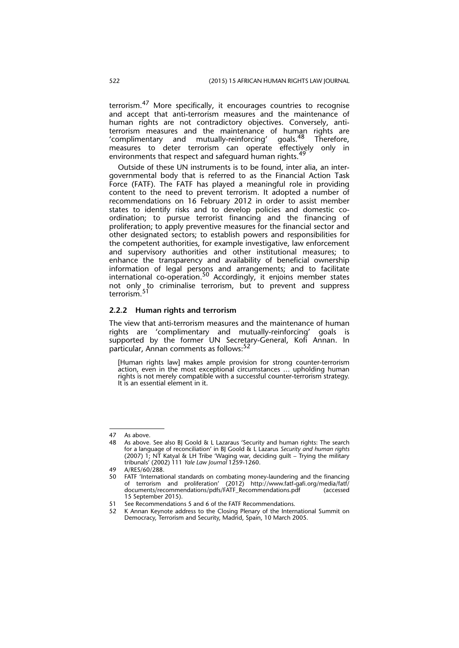terrorism.47 More specifically, it encourages countries to recognise and accept that anti-terrorism measures and the maintenance of human rights are not contradictory objectives. Conversely, antiterrorism measures and the maintenance of human rights are 'complimentary and mutually-reinforcing' qoals.<sup>48</sup> Therefore, measures to deter terrorism can operate effectively only in environments that respect and safeguard human rights.<sup>4</sup>

Outside of these UN instruments is to be found, inter alia, an intergovernmental body that is referred to as the Financial Action Task Force (FATF). The FATF has played a meaningful role in providing content to the need to prevent terrorism. It adopted a number of recommendations on 16 February 2012 in order to assist member states to identify risks and to develop policies and domestic coordination; to pursue terrorist financing and the financing of proliferation; to apply preventive measures for the financial sector and other designated sectors; to establish powers and responsibilities for the competent authorities, for example investigative, law enforcement and supervisory authorities and other institutional measures; to enhance the transparency and availability of beneficial ownership information of legal persons and arrangements; and to facilitate international co-operation.<sup>50</sup> Accordingly, it enjoins member states not only to criminalise terrorism, but to prevent and suppress terrorism.<sup>51</sup>

#### **2.2.2 Human rights and terrorism**

The view that anti-terrorism measures and the maintenance of human rights are 'complimentary and mutually-reinforcing' goals is supported by the former UN Secretary-General, Kofi Annan. In particular, Annan comments as follows:<sup>52</sup>

[Human rights law] makes ample provision for strong counter-terrorism action, even in the most exceptional circumstances … upholding human rights is not merely compatible with a successful counter-terrorism strategy. It is an essential element in it.

<sup>47</sup> As above.

<sup>48</sup> As above*.* See also BJ Goold & L Lazaraus 'Security and human rights: The search for a language of reconciliation' in BJ Goold & L Lazarus *Security and human rights* (2007) 1; NT Katyal & LH Tribe 'Waging war, deciding guilt – Trying the military tribunals' (2002) 111 *Yale Law Journal* 1259-1260.

<sup>49</sup> A/RES/60/288.

FATF 'International standards on combating money-laundering and the financing of terrorism and proliferation' (2012) http://www.fatf-gafi.org/media/fatf/ documents/recommendations/pdfs/FATF\_Recommendations.pdf (accessed 15 September 2015).

<sup>51</sup> See Recommendations 5 and 6 of the FATF Recommendations.

<sup>52</sup> K Annan Keynote address to the Closing Plenary of the International Summit on Democracy, Terrorism and Security, Madrid, Spain, 10 March 2005.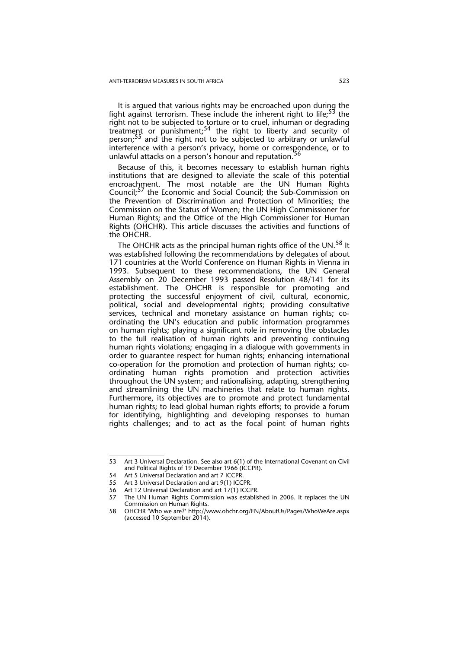It is argued that various rights may be encroached upon during the fight against terrorism. These include the inherent right to life;<sup>53</sup> the right not to be subjected to torture or to cruel, inhuman or degrading treatment or punishment;54 the right to liberty and security of person;<sup>55</sup> and the right not to be subjected to arbitrary or unlawful interference with a person's privacy, home or correspondence, or to unlawful attacks on a person's honour and reputation.<sup>5</sup>

Because of this, it becomes necessary to establish human rights institutions that are designed to alleviate the scale of this potential encroachment. The most notable are the UN Human Rights Council;57 the Economic and Social Council; the Sub-Commission on the Prevention of Discrimination and Protection of Minorities; the Commission on the Status of Women; the UN High Commissioner for Human Rights; and the Office of the High Commissioner for Human Rights (OHCHR). This article discusses the activities and functions of the OHCHR.

The OHCHR acts as the principal human rights office of the UN.<sup>58</sup> It was established following the recommendations by delegates of about 171 countries at the World Conference on Human Rights in Vienna in 1993. Subsequent to these recommendations, the UN General Assembly on 20 December 1993 passed Resolution 48/141 for its establishment. The OHCHR is responsible for promoting and protecting the successful enjoyment of civil, cultural, economic, political, social and developmental rights; providing consultative services, technical and monetary assistance on human rights; coordinating the UN's education and public information programmes on human rights; playing a significant role in removing the obstacles to the full realisation of human rights and preventing continuing human rights violations; engaging in a dialogue with governments in order to guarantee respect for human rights; enhancing international co-operation for the promotion and protection of human rights; coordinating human rights promotion and protection activities throughout the UN system; and rationalising, adapting, strengthening and streamlining the UN machineries that relate to human rights. Furthermore, its objectives are to promote and protect fundamental human rights; to lead global human rights efforts; to provide a forum for identifying, highlighting and developing responses to human rights challenges; and to act as the focal point of human rights

<sup>53</sup> Art 3 Universal Declaration. See also art 6(1) of the International Covenant on Civil and Political Rights of 19 December 1966 (ICCPR).

<sup>54</sup> Art 5 Universal Declaration and art 7 ICCPR.

<sup>55</sup> Art 3 Universal Declaration and art 9(1) ICCPR.

<sup>56</sup> Art 12 Universal Declaration and art 17(1) ICCPR.

<sup>57</sup> The UN Human Rights Commission was established in 2006. It replaces the UN Commission on Human Rights.

<sup>58</sup> OHCHR 'Who we are?' http://www.ohchr.org/EN/AboutUs/Pages/WhoWeAre.aspx (accessed 10 September 2014).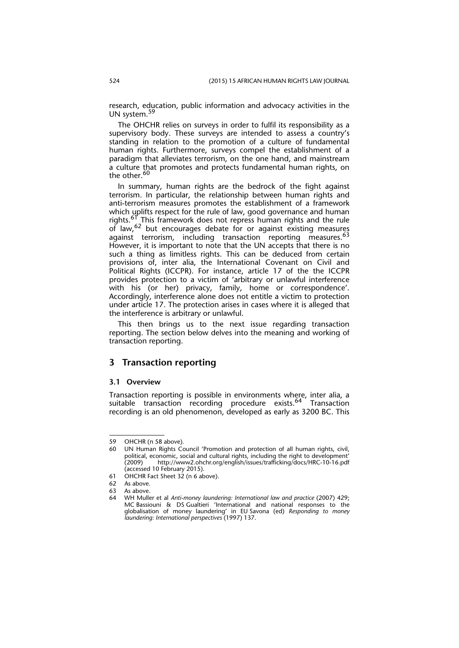research, education, public information and advocacy activities in the UN system.<sup>59</sup>

The OHCHR relies on surveys in order to fulfil its responsibility as a supervisory body. These surveys are intended to assess a country's standing in relation to the promotion of a culture of fundamental human rights. Furthermore, surveys compel the establishment of a paradigm that alleviates terrorism, on the one hand, and mainstream a culture that promotes and protects fundamental human rights, on the other.<sup>60</sup>

In summary, human rights are the bedrock of the fight against terrorism. In particular, the relationship between human rights and anti-terrorism measures promotes the establishment of a framework which uplifts respect for the rule of law, good governance and human rights.<sup>61</sup> This framework does not repress human rights and the rule of law, <sup>62</sup> but encourages debate for or against existing measures against terrorism, including transaction reporting measures.<sup>63</sup> However, it is important to note that the UN accepts that there is no such a thing as limitless rights. This can be deduced from certain provisions of, inter alia, the International Covenant on Civil and Political Rights (ICCPR). For instance, article 17 of the the ICCPR provides protection to a victim of 'arbitrary or unlawful interference with his (or her) privacy, family, home or correspondence'. Accordingly, interference alone does not entitle a victim to protection under article 17. The protection arises in cases where it is alleged that the interference is arbitrary or unlawful.

This then brings us to the next issue regarding transaction reporting. The section below delves into the meaning and working of transaction reporting.

## **3 Transaction reporting**

#### **3.1 Overview**

Transaction reporting is possible in environments where, inter alia, a suitable transaction recording procedure exists.<sup>64</sup> Transaction recording is an old phenomenon, developed as early as 3200 BC. This

<sup>59</sup> OHCHR (n 58 above)*.*

UN Human Rights Council 'Promotion and protection of all human rights, civil, political, economic, social and cultural rights, including the right to development' (2009) http://www2.ohchr.org/english/issues/trafficking/docs/HRC-10-16.pdf (accessed 10 February 2015).

<sup>61</sup> OHCHR Fact Sheet 32 (n 6 above).

<sup>62</sup> As above*.*

As above.

<sup>64</sup> WH Muller et al *Anti-money laundering: International law and practice* (2007) 429; MC Bassiouni & DS Gualtieri 'International and national responses to the globalisation of money laundering' in EU Savona (ed) *Responding to money laundering: International perspectives* (1997) 137.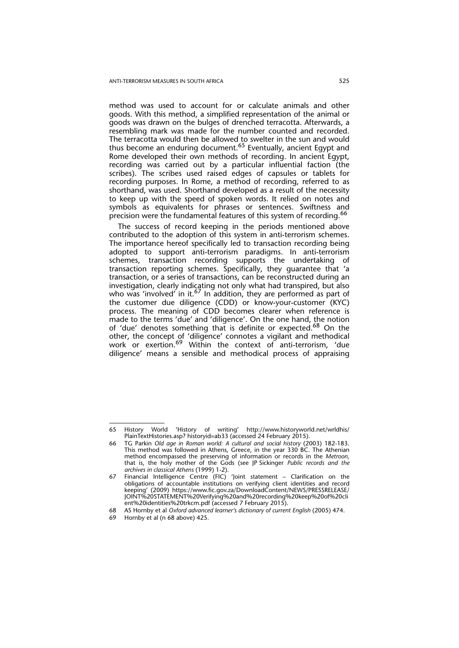method was used to account for or calculate animals and other goods. With this method, a simplified representation of the animal or goods was drawn on the bulges of drenched terracotta. Afterwards, a resembling mark was made for the number counted and recorded. The terracotta would then be allowed to swelter in the sun and would thus become an enduring document.<sup>65</sup> Eventually, ancient Egypt and Rome developed their own methods of recording. In ancient Egypt, recording was carried out by a particular influential faction (the scribes). The scribes used raised edges of capsules or tablets for recording purposes. In Rome, a method of recording, referred to as shorthand, was used. Shorthand developed as a result of the necessity to keep up with the speed of spoken words. It relied on notes and symbols as equivalents for phrases or sentences. Swiftness and precision were the fundamental features of this system of recording.<sup>66</sup>

The success of record keeping in the periods mentioned above contributed to the adoption of this system in anti-terrorism schemes. The importance hereof specifically led to transaction recording being adopted to support anti-terrorism paradigms. In anti-terrorism schemes, transaction recording supports the undertaking of transaction reporting schemes. Specifically, they guarantee that 'a transaction, or a series of transactions, can be reconstructed during an investigation, clearly indicating not only what had transpired, but also who was 'involved' in it.<sup>67</sup> In addition, they are performed as part of the customer due diligence (CDD) or know-your-customer (KYC) process. The meaning of CDD becomes clearer when reference is made to the terms 'due' and 'diligence'. On the one hand, the notion of 'due' denotes something that is definite or expected.68 On the other, the concept of 'diligence' connotes a vigilant and methodical work or exertion.69 Within the context of anti-terrorism, 'due diligence' means a sensible and methodical process of appraising

<sup>65</sup> History World 'History of writing' http://www.historyworld.net/wrldhis/ PlainTextHistories.asp? historyid=ab33 (accessed 24 February 2015).

<sup>66</sup> TG Parkin *Old age in Roman world: A cultural and social history* (2003) 182-183. This method was followed in Athens, Greece, in the year 330 BC. The Athenian method encompassed the preserving of information or records in the *Metroon,* that is, the holy mother of the Gods (see JP Sickinger *Public records and the archives in classical Athens* (1999) 1-2).

<sup>67</sup> Financial Intelligence Centre (FIC) 'Joint statement – Clarification on the obligations of accountable institutions on verifying client identities and record keeping' (2009) https://www.fic.gov.za/DownloadContent/NEWS/PRESSRELEASE/ JOINT%20STATEMENT%20Verifying%20and%20recording%20keep%20of%20cli ent%20identities%20trkcm.pdf (accessed 7 February 2015).

<sup>68</sup> AS Hornby et al *Oxford advanced learner's dictionary of current English* (2005) 474.

<sup>69</sup> Hornby et al (n 68 above) 425.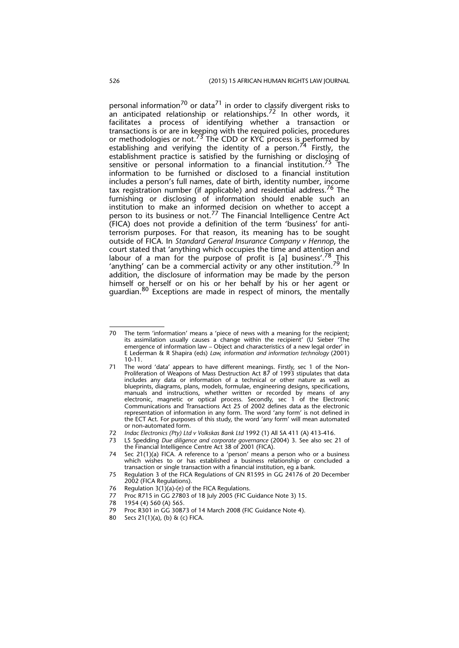personal information<sup>70</sup> or data<sup>71</sup> in order to classify divergent risks to an anticipated relationship or relationships.<sup>72</sup> In other words, it facilitates a process of identifying whether a transaction or transactions is or are in keeping with the required policies, procedures or methodologies or not.<sup>73</sup> The CDD or KYC process is performed by establishing and verifying the identity of a person.<sup>74</sup> Firstly, the establishment practice is satisfied by the furnishing or disclosing of sensitive or personal information to a financial institution.<sup>75</sup> The information to be furnished or disclosed to a financial institution includes a person's full names, date of birth, identity number, income tax registration number (if applicable) and residential address.<sup>76</sup> The furnishing or disclosing of information should enable such an institution to make an informed decision on whether to accept a person to its business or not.<sup>77</sup> The Financial Intelligence Centre Act (FICA) does not provide a definition of the term 'business' for antiterrorism purposes. For that reason, its meaning has to be sought outside of FICA. In *Standard General Insurance Company v Hennop*, the court stated that 'anything which occupies the time and attention and labour of a man for the purpose of profit is [a] business'.<sup>78</sup> This 'anything' can be a commercial activity or any other institution.<sup>79</sup> In addition, the disclosure of information may be made by the person himself or herself or on his or her behalf by his or her agent or guardian.80 Exceptions are made in respect of minors, the mentally

- 77 Proc R715 in GG 27803 of 18 July 2005 (FIC Guidance Note 3) 15.
- 78 1954 (4) 560 (A) 565.<br>79 Proc R301 in GG 3087
- Proc R301 in GG 30873 of 14 March 2008 (FIC Guidance Note 4).
- 80 Secs 21(1)(a), (b) & (c) FICA.

<sup>70</sup> The term 'information' means a 'piece of news with a meaning for the recipient; its assimilation usually causes a change within the recipient' (U Sieber 'The emergence of information law – Object and characteristics of a new legal order' in E Lederman & R Shapira (eds) *Law, information and information technology* (2001) 10-11.

<sup>71</sup> The word 'data' appears to have different meanings. Firstly, sec 1 of the Non-Proliferation of Weapons of Mass Destruction Act 87 of 1993 stipulates that data includes any data or information of a technical or other nature as well as blueprints, diagrams, plans, models, formulae, engineering designs, specifications, manuals and instructions, whether written or recorded by means of any electronic, magnetic or optical process. Secondly, sec 1 of the Electronic Communications and Transactions Act 25 of 2002 defines data as the electronic representation of information in any form. The word 'any form' is not defined in the ECT Act. For purposes of this study, the word 'any form' will mean automated or non-automated form.

<sup>72</sup> *Indac Electronics (Pty) Ltd v Volkskas Bank Ltd* 1992 (1) All SA 411 (A) 413-416.

<sup>73</sup> LS Spedding *Due diligence and corporate governance* (2004) 3. See also sec 21 of

the Financial Intelligence Centre Act 38 of 2001 (FICA). 74 Sec 21(1)(a) FICA. A reference to a 'person' means a person who or a business which wishes to or has established a business relationship or concluded a transaction or single transaction with a financial institution, eg a bank.

<sup>75</sup> Regulation 3 of the FICA Regulations of GN R1595 in GG 24176 of 20 December 2002 (FICA Regulations).

<sup>76</sup> Regulation  $3(1)(a)$ -(e) of the FICA Regulations.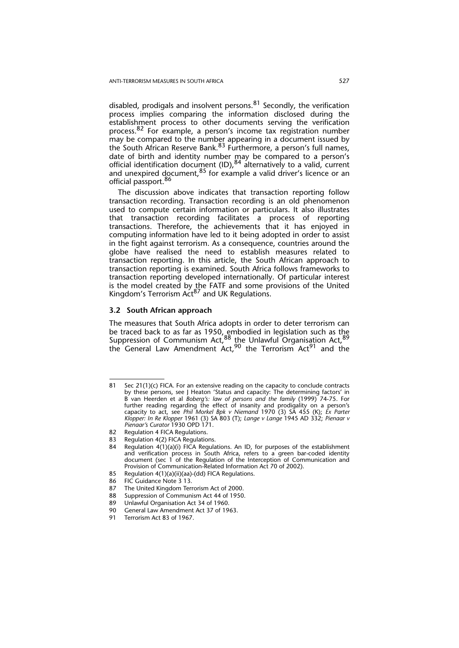disabled, prodigals and insolvent persons. $81$  Secondly, the verification process implies comparing the information disclosed during the establishment process to other documents serving the verification process.<sup>82</sup> For example, a person's income tax registration number may be compared to the number appearing in a document issued by the South African Reserve Bank.<sup>83</sup> Furthermore, a person's full names, date of birth and identity number may be compared to a person's official identification document (ID), <sup>84</sup> alternatively to a valid, current and unexpired document, <sup>85</sup> for example a valid driver's licence or an official passport.<sup>86</sup>

The discussion above indicates that transaction reporting follow transaction recording. Transaction recording is an old phenomenon used to compute certain information or particulars. It also illustrates that transaction recording facilitates a process of reporting transactions. Therefore, the achievements that it has enjoyed in computing information have led to it being adopted in order to assist in the fight against terrorism. As a consequence, countries around the globe have realised the need to establish measures related to transaction reporting. In this article, the South African approach to transaction reporting is examined. South Africa follows frameworks to transaction reporting developed internationally. Of particular interest is the model created by the FATF and some provisions of the United Kingdom's Terrorism Act<sup>87</sup> and UK Regulations.

#### **3.2 South African approach**

The measures that South Africa adopts in order to deter terrorism can be traced back to as far as 1950, embodied in legislation such as the Suppression of Communism Act, <sup>88</sup> the Unlawful Organisation Act, <sup>89</sup> the General Law Amendment Act,<sup>90</sup> the Terrorism Act<sup>91</sup> and the

<sup>81</sup> Sec 21(1)(c) FICA. For an extensive reading on the capacity to conclude contracts by these persons, see J Heaton 'Status and capacity: The determining factors' in B van Heerden et al *Boberg's: law of persons and the family* (1999) 74-75. For further reading regarding the effect of insanity and prodigality on a person's capacity to act, see *Phil Morkel Bpk v Niemand* 1970 (3) SA 455 (K); *Ex Parter Klopper: In Re Klopper* 1961 (3) SA 803 (T); *Lange v Lange* 1945 AD 332; *Pienaar v Pienaar's Curator* 1930 OPD 171.

<sup>82</sup> Regulation 4 FICA Regulations.

<sup>83</sup> Regulation 4(2) FICA Regulations.

<sup>84</sup> Regulation 4(1)(a)(i) FICA Regulations. An ID, for purposes of the establishment and verification process in South Africa, refers to a green bar-coded identity document (sec 1 of the Regulation of the Interception of Communication and Provision of Communication-Related Information Act 70 of 2002).

<sup>85</sup> Regulation 4(1)(a)(ii)(aa)-(dd) FICA Regulations.

<sup>86</sup> FIC Guidance Note 3 13.<br>87 The United Kingdom Terr

The United Kingdom Terrorism Act of 2000.

<sup>88</sup> Suppression of Communism Act 44 of 1950.

<sup>89</sup> Unlawful Organisation Act 34 of 1960.<br>90 General Law Amendment Act 37 of 19

General Law Amendment Act 37 of 1963.

<sup>91</sup> Terrorism Act 83 of 1967.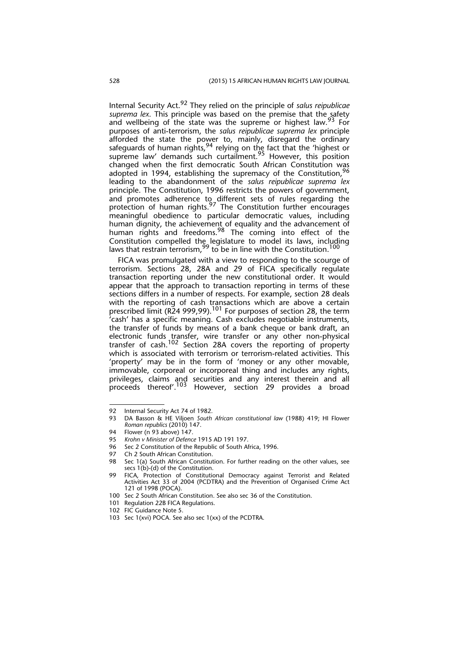Internal Security Act.92 They relied on the principle of *salus reipublicae suprema lex*. This principle was based on the premise that the safety and wellbeing of the state was the supreme or highest law.<sup>93</sup> For purposes of anti-terrorism, the *salus reipublicae suprema lex* principle afforded the state the power to, mainly, disregard the ordinary safeguards of human rights,  $94$  relying on the fact that the 'highest or supreme law' demands such curtailment.<sup>95</sup> However, this position changed when the first democratic South African Constitution was adopted in 1994, establishing the supremacy of the Constitution,  $96$ leading to the abandonment of the *salus reipublicae suprema lex* principle. The Constitution, 1996 restricts the powers of government, and promotes adherence to\_different sets of rules regarding the protection of human rights.<sup>97</sup> The Constitution further encourages meaningful obedience to particular democratic values, including human dignity, the achievement of equality and the advancement of human rights and freedoms.<sup>98</sup> The coming into effect of the Constitution compelled the legislature to model its laws, including laws that restrain terrorism,  $^{99}$  to be in line with the Constitution.  $^{100}$ 

FICA was promulgated with a view to responding to the scourge of terrorism. Sections 28, 28A and 29 of FICA specifically regulate transaction reporting under the new constitutional order. It would appear that the approach to transaction reporting in terms of these sections differs in a number of respects. For example, section 28 deals with the reporting of cash transactions which are above a certain prescribed limit (R24 999,99).<sup>101</sup> For purposes of section 28, the term 'cash' has a specific meaning. Cash excludes negotiable instruments, the transfer of funds by means of a bank cheque or bank draft, an electronic funds transfer, wire transfer or any other non-physical transfer of cash.<sup>102</sup> Section 28A covers the reporting of property which is associated with terrorism or terrorism-related activities. This 'property' may be in the form of 'money or any other movable, immovable, corporeal or incorporeal thing and includes any rights, privileges, claims and securities and any interest therein and all proceeds thereof'.<sup>103</sup> However, section 29 provides a broad

<sup>92</sup> Internal Security Act 74 of 1982.

<sup>93</sup> DA Basson & HE Viljoen *South African constitutional law* (1988) 419; HI Flower *Roman republics* (2010) 147.

<sup>94</sup> Flower (n 93 above) 147.

<sup>95</sup> *Krohn v Minister of Defence* 1915 AD 191 197.

<sup>96</sup> Sec 2 Constitution of the Republic of South Africa, 1996.<br>97 Ch 2 South African Constitution

Ch 2 South African Constitution

<sup>98</sup> Sec 1(a) South African Constitution. For further reading on the other values, see secs 1(b)-(d) of the Constitution.

<sup>99</sup> FICA, Protection of Constitutional Democracy against Terrorist and Related Activities Act 33 of 2004 (PCDTRA) and the Prevention of Organised Crime Act 121 of 1998 (POCA).

<sup>100</sup> Sec 2 South African Constitution. See also sec 36 of the Constitution.

<sup>101</sup> Regulation 22B FICA Regulations.

<sup>102</sup> FIC Guidance Note 5.

<sup>103</sup> Sec 1(xvi) POCA. See also sec 1(xx) of the PCDTRA.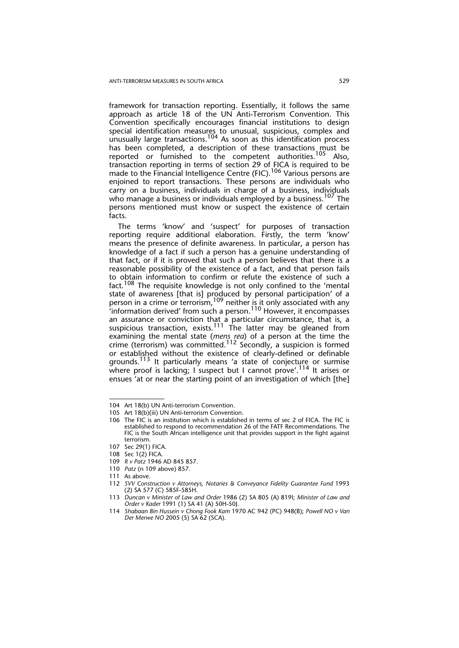framework for transaction reporting. Essentially, it follows the same approach as article 18 of the UN Anti-Terrorism Convention. This Convention specifically encourages financial institutions to design special identification measures to unusual, suspicious, complex and unusually large transactions.<sup>104</sup> As soon as this identification process has been completed, a description of these transactions must be reported or furnished to the competent authorities.<sup>105</sup> Also, transaction reporting in terms of section 29 of FICA is required to be made to the Financial Intelligence Centre (FIC).<sup>106</sup> Various persons are enjoined to report transactions. These persons are individuals who carry on a business, individuals in charge of a business, individuals who manage a business or individuals employed by a business.<sup>107</sup> The persons mentioned must know or suspect the existence of certain facts.

The terms 'know' and 'suspect' for purposes of transaction reporting require additional elaboration. Firstly, the term 'know' means the presence of definite awareness. In particular, a person has knowledge of a fact if such a person has a genuine understanding of that fact, or if it is proved that such a person believes that there is a reasonable possibility of the existence of a fact, and that person fails to obtain information to confirm or refute the existence of such a fact.108 The requisite knowledge is not only confined to the 'mental state of awareness [that is] produced by personal participation' of a person in a crime or terrorism, <sup>109</sup> neither is it only associated with any  $i$ information derived' from such a person. $110$  However, it encompasses an assurance or conviction that a particular circumstance, that is, a suspicious transaction, exists.<sup>111</sup> The latter may be gleaned from examining the mental state (*mens rea*) of a person at the time the crime (terrorism) was committed.<sup>112</sup> Secondly, a suspicion is formed or established without the existence of clearly-defined or definable grounds.113 It particularly means 'a state of conjecture or surmise where proof is lacking; I suspect but I cannot prove'.<sup>114</sup> It arises or ensues 'at or near the starting point of an investigation of which [the]

110 *Patz* (n 109 above) 857.

<sup>104</sup> Art 18(b) UN Anti-terrorism Convention.

<sup>105</sup> Art 18(b)(iii) UN Anti-terrorism Convention.

<sup>106</sup> The FIC is an institution which is established in terms of sec 2 of FICA. The FIC is established to respond to recommendation 26 of the FATF Recommendations. The FIC is the South African intelligence unit that provides support in the fight against terrorism.

<sup>107</sup> Sec 29(1) FICA.

<sup>108</sup> Sec 1(2) FICA.

<sup>109</sup> *R v Patz* 1946 AD 845 857.

<sup>111</sup> As above.

<sup>112</sup> *SVV Construction v Attorneys, Notaries & Conveyance Fidelity Guarantee Fund* 1993 (2) SA 577 (C) 585F-585H.

<sup>113</sup> *Duncan v Minister of Law and Order* 1986 (2) SA 805 (A) 819I; *Minister of Law and Order v Kader* 1991 (1) SA 41 (A) 50H-50J.

<sup>114</sup> *Shabaan Bin Hussein v Chong Fook Kam* 1970 AC 942 (PC) 948(B); *Powell NO v Van Der Merwe NO* 2005 (5) SA 62 (SCA).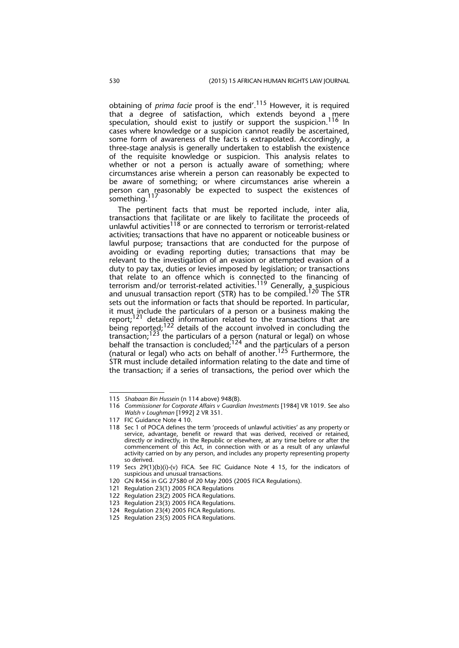obtaining of *prima facie* proof is the end'.115 However, it is required that a degree of satisfaction, which extends beyond a mere speculation, should exist to justify or support the suspicion.<sup>116</sup> In cases where knowledge or a suspicion cannot readily be ascertained, some form of awareness of the facts is extrapolated. Accordingly, a three-stage analysis is generally undertaken to establish the existence of the requisite knowledge or suspicion. This analysis relates to whether or not a person is actually aware of something; where circumstances arise wherein a person can reasonably be expected to be aware of something; or where circumstances arise wherein a person can reasonably be expected to suspect the existences of something.<sup>117</sup>

The pertinent facts that must be reported include, inter alia, transactions that facilitate or are likely to facilitate the proceeds of unlawful activities $118$  or are connected to terrorism or terrorist-related activities; transactions that have no apparent or noticeable business or lawful purpose; transactions that are conducted for the purpose of avoiding or evading reporting duties; transactions that may be relevant to the investigation of an evasion or attempted evasion of a duty to pay tax, duties or levies imposed by legislation; or transactions that relate to an offence which is connected to the financing of terrorism and/or terrorist-related activities.<sup>119</sup> Generally, a suspicious and unusual transaction report (STR) has to be compiled.<sup>120</sup> The STR sets out the information or facts that should be reported. In particular, it must include the particulars of a person or a business making the report;<sup>121</sup> detailed information related to the transactions that are being reported;<sup>122</sup> details of the account involved in concluding the transaction;<sup>123</sup> the particulars of a person (natural or legal) on whose behalf the transaction is concluded;  $124$  and the particulars of a person (natural or legal) who acts on behalf of another.125 Furthermore, the STR must include detailed information relating to the date and time of the transaction; if a series of transactions, the period over which the

<sup>115</sup> *Shabaan Bin Hussein* (n 114 above) 948(B).

<sup>116</sup> *Commissioner for Corporate Affairs v Guardian Investments* [1984] VR 1019. See also *Walsh v Loughman* [1992] 2 VR 351.

<sup>117</sup> FIC Guidance Note 4 10.

<sup>118</sup> Sec 1 of POCA defines the term 'proceeds of unlawful activities' as any property or service, advantage, benefit or reward that was derived, received or retained, directly or indirectly, in the Republic or elsewhere, at any time before or after the commencement of this Act, in connection with or as a result of any unlawful activity carried on by any person, and includes any property representing property so derived.

<sup>119</sup> Secs 29(1)(b)(i)-(v) FICA. See FIC Guidance Note 4 15, for the indicators of suspicious and unusual transactions.

<sup>120</sup> GN R456 in GG 27580 of 20 May 2005 (2005 FICA Regulations).

<sup>121</sup> Regulation 23(1) 2005 FICA Regulations

<sup>122</sup> Regulation 23(2) 2005 FICA Regulations.

<sup>123</sup> Regulation 23(3) 2005 FICA Regulations.

<sup>124</sup> Regulation 23(4) 2005 FICA Regulations.

<sup>125</sup> Regulation 23(5) 2005 FICA Regulations.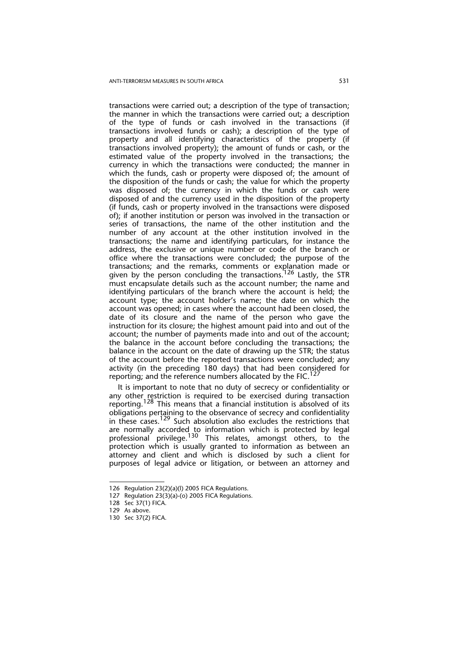transactions were carried out; a description of the type of transaction; the manner in which the transactions were carried out; a description of the type of funds or cash involved in the transactions (if transactions involved funds or cash); a description of the type of property and all identifying characteristics of the property (if transactions involved property); the amount of funds or cash, or the estimated value of the property involved in the transactions; the currency in which the transactions were conducted; the manner in which the funds, cash or property were disposed of; the amount of the disposition of the funds or cash; the value for which the property was disposed of; the currency in which the funds or cash were disposed of and the currency used in the disposition of the property (if funds, cash or property involved in the transactions were disposed of); if another institution or person was involved in the transaction or series of transactions, the name of the other institution and the number of any account at the other institution involved in the transactions; the name and identifying particulars, for instance the address, the exclusive or unique number or code of the branch or office where the transactions were concluded; the purpose of the transactions; and the remarks, comments or explanation made or given by the person concluding the transactions.<sup>126</sup> Lastly, the STR must encapsulate details such as the account number; the name and identifying particulars of the branch where the account is held; the account type; the account holder's name; the date on which the account was opened; in cases where the account had been closed, the date of its closure and the name of the person who gave the instruction for its closure; the highest amount paid into and out of the account; the number of payments made into and out of the account; the balance in the account before concluding the transactions; the balance in the account on the date of drawing up the STR; the status of the account before the reported transactions were concluded; any activity (in the preceding 180 days) that had been considered for reporting; and the reference numbers allocated by the FIC.<sup>127</sup>

It is important to note that no duty of secrecy or confidentiality or any other restriction is required to be exercised during transaction reporting.<sup>128</sup> This means that a financial institution is absolved of its obligations pertaining to the observance of secrecy and confidentiality in these cases.<sup>129</sup> Such absolution also excludes the restrictions that are normally accorded to information which is protected by legal professional privilege.<sup>130</sup> This relates, amongst others, to the protection which is usually granted to information as between an attorney and client and which is disclosed by such a client for purposes of legal advice or litigation, or between an attorney and

<sup>126</sup> Regulation 23(2)(a)(l) 2005 FICA Regulations.

<sup>127</sup> Regulation 23(3)(a)-(o) 2005 FICA Regulations.

<sup>128</sup> Sec 37(1) FICA.

<sup>129</sup> As above.

<sup>130</sup> Sec 37(2) FICA.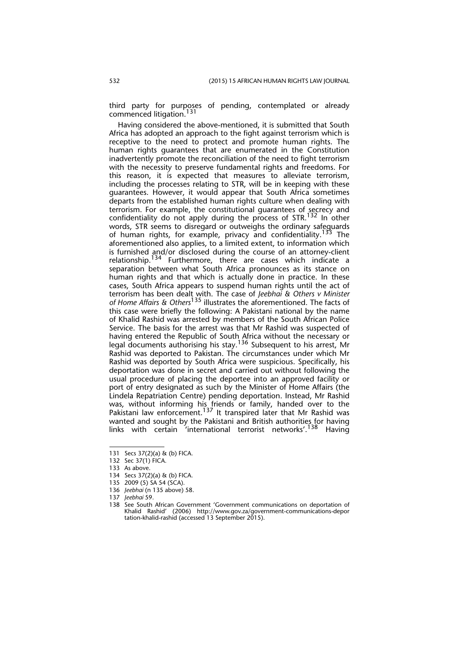third party for purposes of pending, contemplated or already commenced litigation.<sup>131</sup>

Having considered the above-mentioned, it is submitted that South Africa has adopted an approach to the fight against terrorism which is receptive to the need to protect and promote human rights. The human rights guarantees that are enumerated in the Constitution inadvertently promote the reconciliation of the need to fight terrorism with the necessity to preserve fundamental rights and freedoms. For this reason, it is expected that measures to alleviate terrorism, including the processes relating to STR, will be in keeping with these guarantees. However, it would appear that South Africa sometimes departs from the established human rights culture when dealing with terrorism. For example, the constitutional guarantees of secrecy and confidentiality do not apply during the process of STR.132 In other words, STR seems to disregard or outweighs the ordinary safeguards of human rights, for example, privacy and confidentiality.<sup>133</sup> The aforementioned also applies, to a limited extent, to information which is furnished and/or disclosed during the course of an attorney-client relationship.134 Furthermore, there are cases which indicate a separation between what South Africa pronounces as its stance on human rights and that which is actually done in practice. In these cases, South Africa appears to suspend human rights until the act of terrorism has been dealt with. The case of *Jeebhai & Others v Minister of Home Affairs & Others*135 illustrates the aforementioned. The facts of this case were briefly the following: A Pakistani national by the name of Khalid Rashid was arrested by members of the South African Police Service. The basis for the arrest was that Mr Rashid was suspected of having entered the Republic of South Africa without the necessary or legal documents authorising his stay.<sup>136</sup> Subsequent to his arrest, Mr Rashid was deported to Pakistan. The circumstances under which Mr Rashid was deported by South Africa were suspicious. Specifically, his deportation was done in secret and carried out without following the usual procedure of placing the deportee into an approved facility or port of entry designated as such by the Minister of Home Affairs (the Lindela Repatriation Centre) pending deportation. Instead, Mr Rashid was, without informing his friends or family, handed over to the Pakistani law enforcement.<sup>137</sup> It transpired later that Mr Rashid was wanted and sought by the Pakistani and British authorities for having links with certain 'international terrorist networks'.<sup>138</sup> Having

<sup>131</sup> Secs 37(2)(a) & (b) FICA.

<sup>132</sup> Sec 37(1) FICA.

<sup>133</sup> As above.

<sup>134</sup> Secs 37(2)(a) & (b) FICA.

<sup>135 2009 (5)</sup> SA 54 (SCA).

<sup>136</sup> *Jeebhai* (n 135 above) 58.

<sup>137</sup> *Jeebhai* 59.

<sup>138</sup> See South African Government 'Government communications on deportation of Khalid Rashid' (2006) http://www.gov.za/government-communications-depor tation-khalid-rashid (accessed 13 September 2015).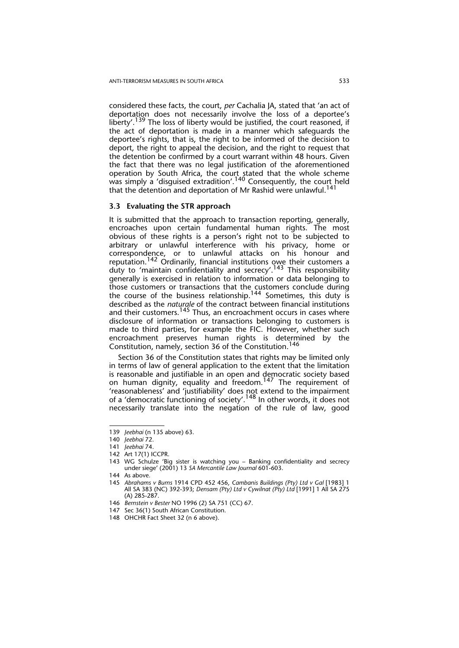considered these facts, the court, *per* Cachalia JA, stated that 'an act of deportation does not necessarily involve the loss of a deportee's liberty'.<sup>139</sup> The loss of liberty would be justified, the court reasoned, if the act of deportation is made in a manner which safeguards the deportee's rights, that is, the right to be informed of the decision to deport, the right to appeal the decision, and the right to request that the detention be confirmed by a court warrant within 48 hours. Given the fact that there was no legal justification of the aforementioned operation by South Africa, the court stated that the whole scheme was simply a 'disguised extradition'.<sup>140</sup> Consequently, the court held that the detention and deportation of Mr Rashid were unlawful.<sup>14</sup>

#### **3.3 Evaluating the STR approach**

It is submitted that the approach to transaction reporting, generally, encroaches upon certain fundamental human rights. The most obvious of these rights is a person's right not to be subjected to arbitrary or unlawful interference with his privacy, home or correspondence, or to unlawful attacks on his honour and reputation.<sup>142</sup> Ordinarily, financial institutions owe their customers a duty to 'maintain confidentiality and secrecy'.<sup>143</sup> This responsibility generally is exercised in relation to information or data belonging to those customers or transactions that the customers conclude during the course of the business relationship.<sup>144</sup> Sometimes, this duty is described as the *naturale* of the contract between financial institutions and their customers.<sup>145</sup> Thus, an encroachment occurs in cases where disclosure of information or transactions belonging to customers is made to third parties, for example the FIC. However, whether such encroachment preserves human rights is determined by the Constitution, namely, section 36 of the Constitution.<sup>146</sup>

Section 36 of the Constitution states that rights may be limited only in terms of law of general application to the extent that the limitation is reasonable and justifiable in an open and democratic society based on human dignity, equality and freedom.<sup>147</sup> The requirement of 'reasonableness' and 'justifiability' does not extend to the impairment of a 'democratic functioning of society'.<sup>148</sup> In other words, it does not necessarily translate into the negation of the rule of law, good

<sup>139</sup> *Jeebhai* (n 135 above) 63.

<sup>140</sup> *Jeebhai* 72.

<sup>141</sup> *Jeebhai* 74.

<sup>142</sup> Art 17(1) ICCPR.

<sup>143</sup> WG Schulze 'Big sister is watching you – Banking confidentiality and secrecy under siege' (2001) 13 *SA Mercantile Law Journal* 601-603.

<sup>144</sup> As above*.*

<sup>145</sup> *Abrahams v Burns* 1914 CPD 452 456, *Cambanis Buildings (Pty) Ltd v Gal* [1983] 1 All SA 383 (NC) 392-393; *Densam (Pty) Ltd v Cywilnat (Pty) Ltd* [1991] 1 All SA 275 (A) 285-287.

<sup>146</sup> *Bernstein v Bester* NO 1996 (2) SA 751 (CC) 67.

<sup>147</sup> Sec 36(1) South African Constitution.

<sup>148</sup> OHCHR Fact Sheet 32 (n 6 above).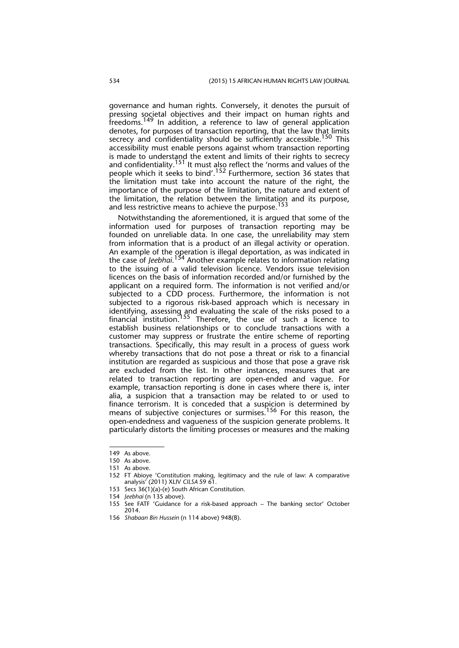governance and human rights. Conversely, it denotes the pursuit of pressing societal objectives and their impact on human rights and freedoms.149 In addition, a reference to law of general application denotes, for purposes of transaction reporting, that the law that limits secrecy and confidentiality should be sufficiently accessible.<sup>150</sup> This accessibility must enable persons against whom transaction reporting is made to understand the extent and limits of their rights to secrecy and confidentiality.151 It must also reflect the 'norms and values of the people which it seeks to bind'.152 Furthermore, section 36 states that the limitation must take into account the nature of the right, the importance of the purpose of the limitation, the nature and extent of the limitation, the relation between the limitation and its purpose, and less restrictive means to achieve the purpose.<sup>153</sup>

Notwithstanding the aforementioned, it is argued that some of the information used for purposes of transaction reporting may be founded on unreliable data. In one case, the unreliability may stem from information that is a product of an illegal activity or operation. An example of the operation is illegal deportation, as was indicated in the case of *Jeebhai*. 154 Another example relates to information relating to the issuing of a valid television licence. Vendors issue television licences on the basis of information recorded and/or furnished by the applicant on a required form. The information is not verified and/or subjected to a CDD process. Furthermore, the information is not subjected to a rigorous risk-based approach which is necessary in identifying, assessing and evaluating the scale of the risks posed to a financial institution.<sup>155</sup> Therefore, the use of such a licence to establish business relationships or to conclude transactions with a customer may suppress or frustrate the entire scheme of reporting transactions. Specifically, this may result in a process of guess work whereby transactions that do not pose a threat or risk to a financial institution are regarded as suspicious and those that pose a grave risk are excluded from the list. In other instances, measures that are related to transaction reporting are open-ended and vague. For example, transaction reporting is done in cases where there is, inter alia, a suspicion that a transaction may be related to or used to finance terrorism. It is conceded that a suspicion is determined by means of subjective conjectures or surmises.<sup>156</sup> For this reason, the open-endedness and vagueness of the suspicion generate problems. It particularly distorts the limiting processes or measures and the making

<sup>149</sup> As above.

<sup>150</sup> As above.

<sup>151</sup> As above.

<sup>152</sup> FT Abioye 'Constitution making, legitimacy and the rule of law: A comparative analysis' (2011) XLIV *CILSA* 59 61.

<sup>153</sup> Secs 36(1)(a)-(e) South African Constitution.

<sup>154</sup> *Jeebhai* (n 135 above).

<sup>155</sup> See FATF 'Guidance for a risk-based approach – The banking sector' October 2014.

<sup>156</sup> *Shabaan Bin Hussein* (n 114 above) 948(B).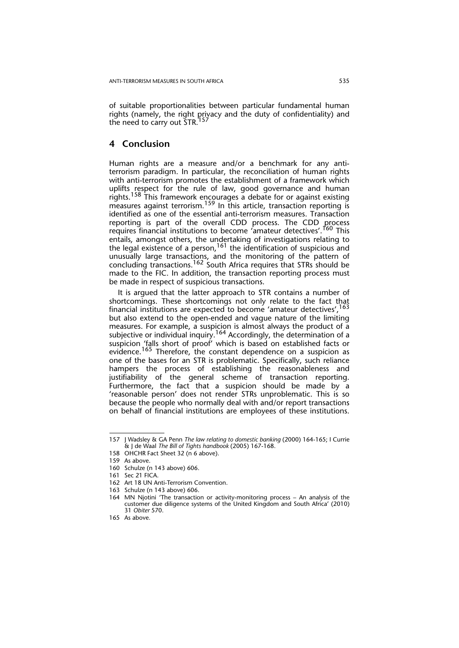of suitable proportionalities between particular fundamental human rights (namely, the right privacy and the duty of confidentiality) and the need to carry out STR.<sup>157</sup>

## **4 Conclusion**

Human rights are a measure and/or a benchmark for any antiterrorism paradigm. In particular, the reconciliation of human rights with anti-terrorism promotes the establishment of a framework which uplifts respect for the rule of law, good governance and human rights.<sup>158</sup> This framework encourages a debate for or against existing measures against terrorism.<sup>159</sup> In this article, transaction reporting is identified as one of the essential anti-terrorism measures. Transaction reporting is part of the overall CDD process. The CDD process requires financial institutions to become 'amateur detectives'.<sup>160</sup> This entails, amongst others, the undertaking of investigations relating to the legal existence of a person,  $161$  the identification of suspicious and unusually large transactions, and the monitoring of the pattern of concluding transactions.<sup>162</sup> South Africa requires that STRs should be made to the FIC. In addition, the transaction reporting process must be made in respect of suspicious transactions.

It is argued that the latter approach to STR contains a number of shortcomings. These shortcomings not only relate to the fact that financial institutions are expected to become 'amateur detectives',  $163$ but also extend to the open-ended and vague nature of the limiting measures. For example, a suspicion is almost always the product of a subjective or individual inquiry.<sup>164</sup> Accordingly, the determination of a suspicion 'falls short of proof' which is based on established facts or evidence.<sup>165</sup> Therefore, the constant dependence on a suspicion as one of the bases for an STR is problematic. Specifically, such reliance hampers the process of establishing the reasonableness and justifiability of the general scheme of transaction reporting. Furthermore, the fact that a suspicion should be made by a 'reasonable person' does not render STRs unproblematic. This is so because the people who normally deal with and/or report transactions on behalf of financial institutions are employees of these institutions.

<sup>157</sup> J Wadsley & GA Penn *The law relating to domestic banking* (2000) 164-165; I Currie & J de Waal *The Bill of Tights handbook* (2005) 167-168.

<sup>158</sup> OHCHR Fact Sheet 32 (n 6 above).

<sup>159</sup> As above.

<sup>160</sup> Schulze (n 143 above) 606.

<sup>161</sup> Sec 21 FICA.

<sup>162</sup> Art 18 UN Anti-Terrorism Convention.

<sup>163</sup> Schulze (n 143 above) 606.

<sup>164</sup> MN Njotini 'The transaction or activity-monitoring process – An analysis of the customer due diligence systems of the United Kingdom and South Africa' (2010) 31 *Obiter* 570.

<sup>165</sup> As above*.*